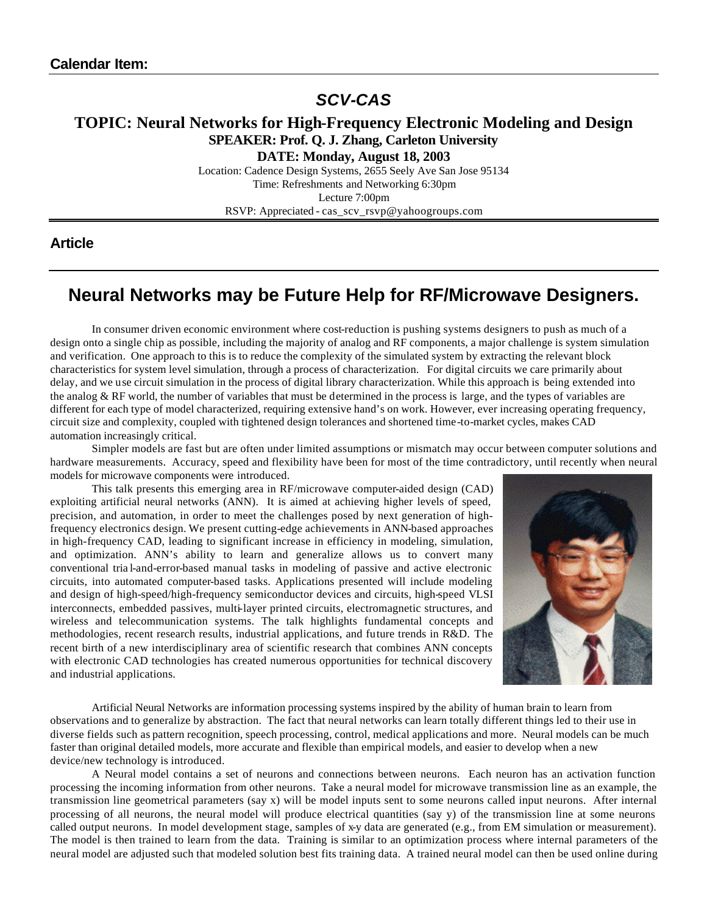# *SCV-CAS*

## **TOPIC: Neural Networks for High-Frequency Electronic Modeling and Design SPEAKER: Prof. Q. J. Zhang, Carleton University**

**DATE: Monday, August 18, 2003**

Location: Cadence Design Systems, 2655 Seely Ave San Jose 95134 Time: Refreshments and Networking 6:30pm Lecture 7:00pm RSVP: Appreciated - cas\_scv\_rsvp@yahoogroups.com

### **Article**

# **Neural Networks may be Future Help for RF/Microwave Designers.**

In consumer driven economic environment where cost-reduction is pushing systems designers to push as much of a design onto a single chip as possible, including the majority of analog and RF components, a major challenge is system simulation and verification. One approach to this is to reduce the complexity of the simulated system by extracting the relevant block characteristics for system level simulation, through a process of characterization. For digital circuits we care primarily about delay, and we use circuit simulation in the process of digital library characterization. While this approach is being extended into the analog & RF world, the number of variables that must be determined in the process is large, and the types of variables are different for each type of model characterized, requiring extensive hand's on work. However, ever increasing operating frequency, circuit size and complexity, coupled with tightened design tolerances and shortened time-to-market cycles, makes CAD automation increasingly critical.

Simpler models are fast but are often under limited assumptions or mismatch may occur between computer solutions and hardware measurements. Accuracy, speed and flexibility have been for most of the time contradictory, until recently when neural models for microwave components were introduced.

This talk presents this emerging area in RF/microwave computer-aided design (CAD) exploiting artificial neural networks (ANN). It is aimed at achieving higher levels of speed, precision, and automation, in order to meet the challenges posed by next generation of highfrequency electronics design. We present cutting-edge achievements in ANN-based approaches in high-frequency CAD, leading to significant increase in efficiency in modeling, simulation, and optimization. ANN's ability to learn and generalize allows us to convert many conventional tria l-and-error-based manual tasks in modeling of passive and active electronic circuits, into automated computer-based tasks. Applications presented will include modeling and design of high-speed/high-frequency semiconductor devices and circuits, high-speed VLSI interconnects, embedded passives, multi-layer printed circuits, electromagnetic structures, and wireless and telecommunication systems. The talk highlights fundamental concepts and methodologies, recent research results, industrial applications, and future trends in R&D. The recent birth of a new interdisciplinary area of scientific research that combines ANN concepts with electronic CAD technologies has created numerous opportunities for technical discovery and industrial applications.



Artificial Neural Networks are information processing systems inspired by the ability of human brain to learn from observations and to generalize by abstraction. The fact that neural networks can learn totally different things led to their use in diverse fields such as pattern recognition, speech processing, control, medical applications and more. Neural models can be much faster than original detailed models, more accurate and flexible than empirical models, and easier to develop when a new device/new technology is introduced.

A Neural model contains a set of neurons and connections between neurons. Each neuron has an activation function processing the incoming information from other neurons. Take a neural model for microwave transmission line as an example, the transmission line geometrical parameters (say x) will be model inputs sent to some neurons called input neurons. After internal processing of all neurons, the neural model will produce electrical quantities (say y) of the transmission line at some neurons called output neurons. In model development stage, samples of x-y data are generated (e.g., from EM simulation or measurement). The model is then trained to learn from the data. Training is similar to an optimization process where internal parameters of the neural model are adjusted such that modeled solution best fits training data. A trained neural model can then be used online during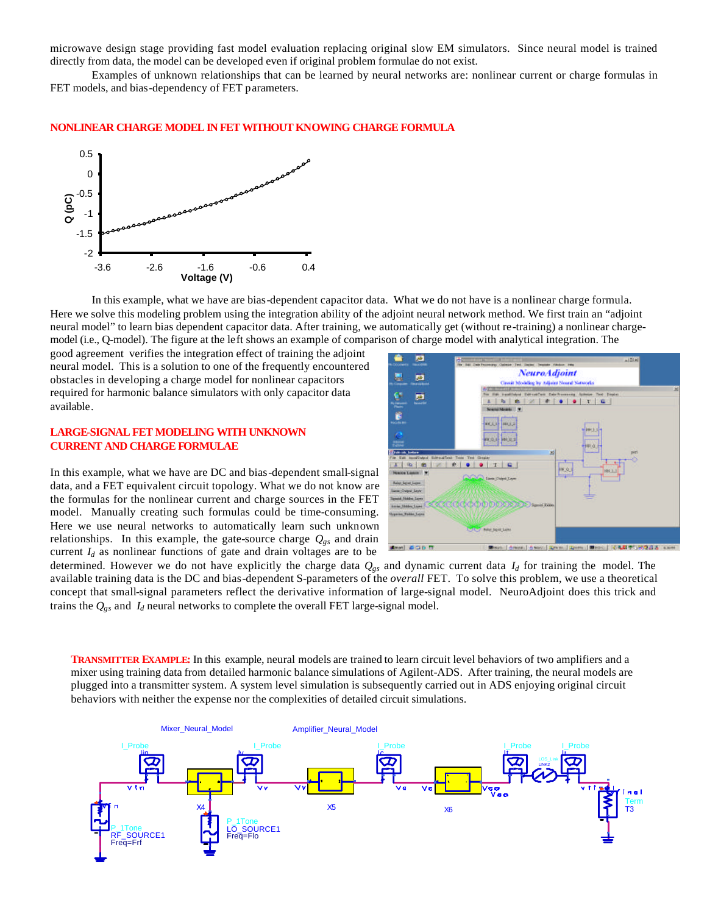microwave design stage providing fast model evaluation replacing original slow EM simulators. Since neural model is trained directly from data, the model can be developed even if original problem formulae do not exist.

Examples of unknown relationships that can be learned by neural networks are: nonlinear current or charge formulas in FET models, and bias-dependency of FET parameters.

#### **NONLINEAR CHARGE MODEL IN FET WITHOUT KNOWING CHARGE FORMULA**



In this example, what we have are bias-dependent capacitor data. What we do not have is a nonlinear charge formula. Here we solve this modeling problem using the integration ability of the adjoint neural network method. We first train an "adjoint neural model" to learn bias dependent capacitor data. After training, we automatically get (without re-training) a nonlinear chargemodel (i.e., Q-model). The figure at the left shows an example of comparison of charge model with analytical integration. The

good agreement verifies the integration effect of training the adjoint neural model. This is a solution to one of the frequently encountered obstacles in developing a charge model for nonlinear capacitors required for harmonic balance simulators with only capacitor data available.

### **LARGE-SIGNAL FET MODELING WITH UNKNOWN CURRENT AND CHARGE FORMULAE**

In this example, what we have are DC and bias-dependent small-signal data, and a FET equivalent circuit topology. What we do not know are the formulas for the nonlinear current and charge sources in the FET model. Manually creating such formulas could be time-consuming. Here we use neural networks to automatically learn such unknown relationships. In this example, the gate-source charge  $Q_{gs}$  and drain current  $I_d$  as nonlinear functions of gate and drain voltages are to be



determined. However we do not have explicitly the charge data *Qgs* and dynamic current data *Id* for training the model. The available training data is the DC and bias-dependent S-parameters of the *overall* FET. To solve this problem, we use a theoretical concept that small-signal parameters reflect the derivative information of large-signal model. NeuroAdjoint does this trick and trains the  $Q_{gs}$  and  $I_d$  neural networks to complete the overall FET large-signal model.

**TRANSMITTER EXAMPLE:** In this example, neural models are trained to learn circuit level behaviors of two amplifiers and a mixer using training data from detailed harmonic balance simulations of Agilent-ADS. After training, the neural models are plugged into a transmitter system. A system level simulation is subsequently carried out in ADS enjoying original circuit behaviors with neither the expense nor the complexities of detailed circuit simulations.

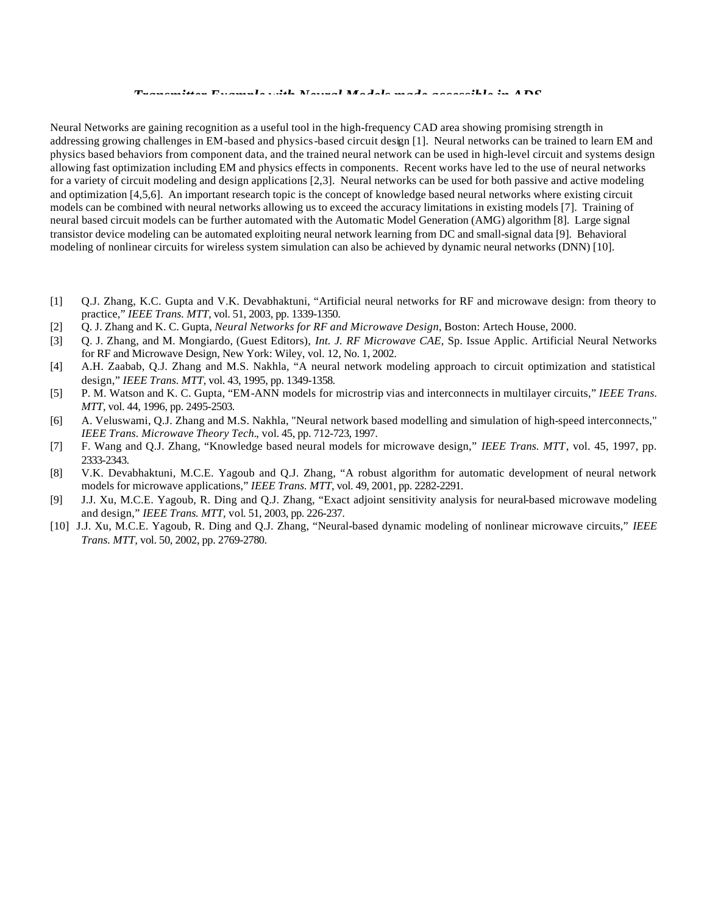*Transmitter Example with Neural Models made accessible in ADS* 

Neural Networks are gaining recognition as a useful tool in the high-frequency CAD area showing promising strength in addressing growing challenges in EM-based and physics-based circuit design [1]. Neural networks can be trained to learn EM and physics based behaviors from component data, and the trained neural network can be used in high-level circuit and systems design allowing fast optimization including EM and physics effects in components. Recent works have led to the use of neural networks for a variety of circuit modeling and design applications [2,3]. Neural networks can be used for both passive and active modeling and optimization [4,5,6]. An important research topic is the concept of knowledge based neural networks where existing circuit models can be combined with neural networks allowing us to exceed the accuracy limitations in existing models [7]. Training of neural based circuit models can be further automated with the Automatic Model Generation (AMG) algorithm [8]. Large signal transistor device modeling can be automated exploiting neural network learning from DC and small-signal data [9]. Behavioral modeling of nonlinear circuits for wireless system simulation can also be achieved by dynamic neural networks (DNN) [10].

- [1] Q.J. Zhang, K.C. Gupta and V.K. Devabhaktuni, "Artificial neural networks for RF and microwave design: from theory to practice," *IEEE Trans. MTT*, vol. 51, 2003, pp. 1339-1350.
- [2] Q. J. Zhang and K. C. Gupta, *Neural Networks for RF and Microwave Design*, Boston: Artech House, 2000.
- [3] Q. J. Zhang, and M. Mongiardo, (Guest Editors), *Int. J. RF Microwave CAE,* Sp. Issue Applic. Artificial Neural Networks for RF and Microwave Design, New York: Wiley, vol. 12, No. 1, 2002.
- [4] A.H. Zaabab, Q.J. Zhang and M.S. Nakhla, "A neural network modeling approach to circuit optimization and statistical design," *IEEE Trans. MTT*, vol. 43, 1995, pp. 1349-1358.
- [5] P. M. Watson and K. C. Gupta, "EM-ANN models for microstrip vias and interconnects in multilayer circuits," *IEEE Trans. MTT*, vol. 44, 1996, pp. 2495-2503.
- [6] A. Veluswami, Q.J. Zhang and M.S. Nakhla, "Neural network based modelling and simulation of high-speed interconnects," *IEEE Trans. Microwave Theory Tech.*, vol. 45, pp. 712-723, 1997.
- [7] F. Wang and Q.J. Zhang, "Knowledge based neural models for microwave design," *IEEE Trans. MTT*, vol. 45, 1997, pp. 2333-2343.
- [8] V.K. Devabhaktuni, M.C.E. Yagoub and Q.J. Zhang, "A robust algorithm for automatic development of neural network models for microwave applications," *IEEE Trans. MTT*, vol. 49, 2001, pp. 2282-2291.
- [9] J.J. Xu, M.C.E. Yagoub, R. Ding and Q.J. Zhang, "Exact adjoint sensitivity analysis for neural-based microwave modeling and design," *IEEE Trans. MTT,* vol. 51, 2003, pp. 226-237.
- [10] J.J. Xu, M.C.E. Yagoub, R. Ding and Q.J. Zhang, "Neural-based dynamic modeling of nonlinear microwave circuits," *IEEE Trans. MTT,* vol. 50, 2002, pp. 2769-2780.